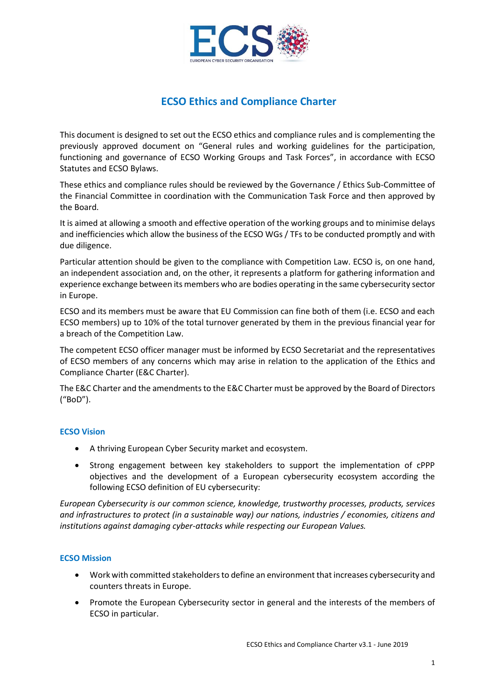

## **ECSO Ethics and Compliance Charter**

This document is designed to set out the ECSO ethics and compliance rules and is complementing the previously approved document on "General rules and working guidelines for the participation, functioning and governance of ECSO Working Groups and Task Forces", in accordance with ECSO Statutes and ECSO Bylaws.

These ethics and compliance rules should be reviewed by the Governance / Ethics Sub-Committee of the Financial Committee in coordination with the Communication Task Force and then approved by the Board.

It is aimed at allowing a smooth and effective operation of the working groups and to minimise delays and inefficiencies which allow the business of the ECSO WGs / TFs to be conducted promptly and with due diligence.

Particular attention should be given to the compliance with Competition Law. ECSO is, on one hand, an independent association and, on the other, it represents a platform for gathering information and experience exchange between its members who are bodies operating in the same cybersecurity sector in Europe.

ECSO and its members must be aware that EU Commission can fine both of them (i.e. ECSO and each ECSO members) up to 10% of the total turnover generated by them in the previous financial year for a breach of the Competition Law.

The competent ECSO officer manager must be informed by ECSO Secretariat and the representatives of ECSO members of any concerns which may arise in relation to the application of the Ethics and Compliance Charter (E&C Charter).

The E&C Charter and the amendments to the E&C Charter must be approved by the Board of Directors ("BoD").

#### **ECSO Vision**

- A thriving European Cyber Security market and ecosystem.
- Strong engagement between key stakeholders to support the implementation of cPPP objectives and the development of a European cybersecurity ecosystem according the following ECSO definition of EU cybersecurity:

*European Cybersecurity is our common science, knowledge, trustworthy processes, products, services and infrastructures to protect (in a sustainable way) our nations, industries / economies, citizens and institutions against damaging cyber-attacks while respecting our European Values.*

#### **ECSO Mission**

- Work with committed stakeholders to define an environment that increases cybersecurity and counters threats in Europe.
- Promote the European Cybersecurity sector in general and the interests of the members of ECSO in particular.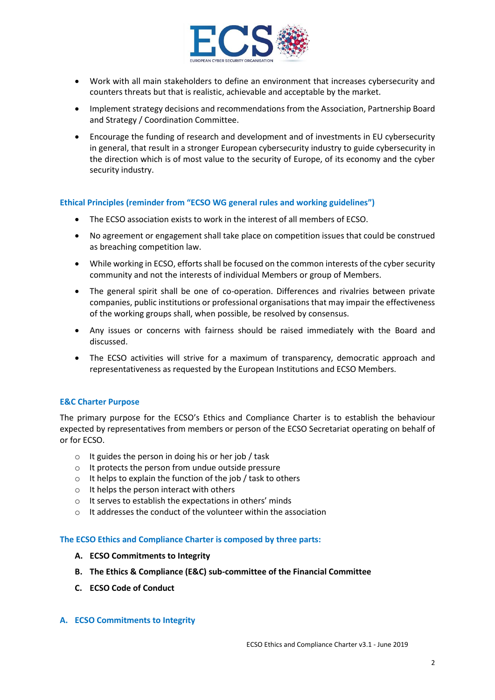

- Work with all main stakeholders to define an environment that increases cybersecurity and counters threats but that is realistic, achievable and acceptable by the market.
- Implement strategy decisions and recommendations from the Association, Partnership Board and Strategy / Coordination Committee.
- Encourage the funding of research and development and of investments in EU cybersecurity in general, that result in a stronger European cybersecurity industry to guide cybersecurity in the direction which is of most value to the security of Europe, of its economy and the cyber security industry.

#### **Ethical Principles (reminder from "ECSO WG general rules and working guidelines")**

- The ECSO association exists to work in the interest of all members of ECSO.
- No agreement or engagement shall take place on competition issues that could be construed as breaching competition law.
- While working in ECSO, efforts shall be focused on the common interests of the cyber security community and not the interests of individual Members or group of Members.
- The general spirit shall be one of co-operation. Differences and rivalries between private companies, public institutions or professional organisations that may impair the effectiveness of the working groups shall, when possible, be resolved by consensus.
- Any issues or concerns with fairness should be raised immediately with the Board and discussed.
- The ECSO activities will strive for a maximum of transparency, democratic approach and representativeness as requested by the European Institutions and ECSO Members.

#### **E&C Charter Purpose**

The primary purpose for the ECSO's Ethics and Compliance Charter is to establish the behaviour expected by representatives from members or person of the ECSO Secretariat operating on behalf of or for ECSO.

- $\circ$  It guides the person in doing his or her job / task
- o It protects the person from undue outside pressure
- $\circ$  It helps to explain the function of the job / task to others
- o It helps the person interact with others
- o It serves to establish the expectations in others' minds
- $\circ$  It addresses the conduct of the volunteer within the association

#### **The ECSO Ethics and Compliance Charter is composed by three parts:**

- **A. ECSO Commitments to Integrity**
- **B. The Ethics & Compliance (E&C) sub-committee of the Financial Committee**
- **C. ECSO Code of Conduct**

#### **A. ECSO Commitments to Integrity**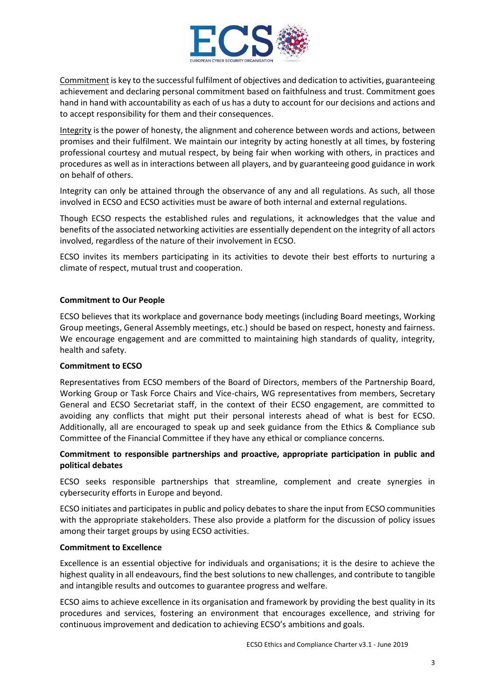

Commitment is key to the successful fulfilment of objectives and dedication to activities, guaranteeing achievement and declaring personal commitment based on faithfulness and trust. Commitment goes hand in hand with accountability as each of us has a duty to account for our decisions and actions and to accept responsibility for them and their consequences.

Integrity is the power of honesty, the alignment and coherence between words and actions, between promises and their fulfilment. We maintain our integrity by acting honestly at all times, by fostering professional courtesy and mutual respect, by being fair when working with others, in practices and procedures as well as in interactions between all players, and by guaranteeing good guidance in work on behalf of others.

Integrity can only be attained through the observance of any and all regulations. As such, all those involved in ECSO and ECSO activities must be aware of both internal and external regulations.

Though ECSO respects the established rules and regulations, it acknowledges that the value and benefits of the associated networking activities are essentially dependent on the integrity of all actors involved, regardless of the nature of their involvement in ECSO.

ECSO invites its members participating in its activities to devote their best efforts to nurturing a climate of respect, mutual trust and cooperation.

#### **Commitment to Our People**

ECSO believes that its workplace and governance body meetings (including Board meetings, Working Group meetings, General Assembly meetings, etc.) should be based on respect, honesty and fairness. We encourage engagement and are committed to maintaining high standards of quality, integrity, health and safety.

#### **Commitment to ECSO**

Representatives from ECSO members of the Board of Directors, members of the Partnership Board, Working Group or Task Force Chairs and Vice-chairs, WG representatives from members, Secretary General and ECSO Secretariat staff, in the context of their ECSO engagement, are committed to avoiding any conflicts that might put their personal interests ahead of what is best for ECSO. Additionally, all are encouraged to speak up and seek guidance from the Ethics & Compliance sub Committee of the Financial Committee if they have any ethical or compliance concerns.

#### **Commitment to responsible partnerships and proactive, appropriate participation in public and political debates**

ECSO seeks responsible partnerships that streamline, complement and create synergies in cybersecurity efforts in Europe and beyond.

ECSO initiates and participates in public and policy debates to share the input from ECSO communities with the appropriate stakeholders. These also provide a platform for the discussion of policy issues among their target groups by using ECSO activities.

#### **Commitment to Excellence**

Excellence is an essential objective for individuals and organisations; it is the desire to achieve the highest quality in all endeavours, find the best solutions to new challenges, and contribute to tangible and intangible results and outcomes to guarantee progress and welfare.

ECSO aims to achieve excellence in its organisation and framework by providing the best quality in its procedures and services, fostering an environment that encourages excellence, and striving for continuous improvement and dedication to achieving ECSO's ambitions and goals.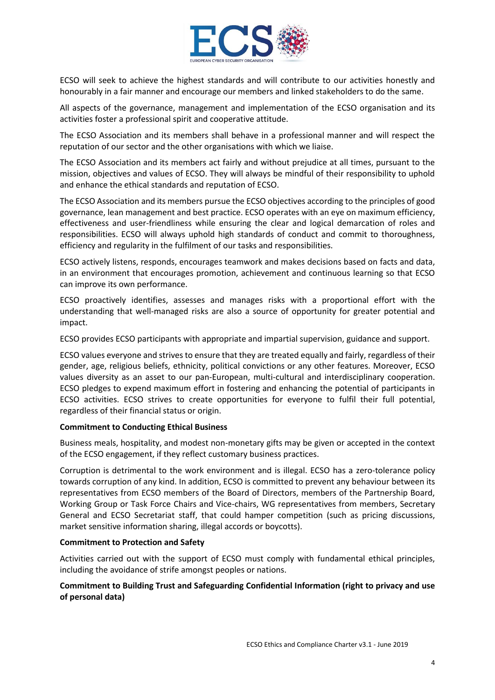

ECSO will seek to achieve the highest standards and will contribute to our activities honestly and honourably in a fair manner and encourage our members and linked stakeholders to do the same.

All aspects of the governance, management and implementation of the ECSO organisation and its activities foster a professional spirit and cooperative attitude.

The ECSO Association and its members shall behave in a professional manner and will respect the reputation of our sector and the other organisations with which we liaise.

The ECSO Association and its members act fairly and without prejudice at all times, pursuant to the mission, objectives and values of ECSO. They will always be mindful of their responsibility to uphold and enhance the ethical standards and reputation of ECSO.

The ECSO Association and its members pursue the ECSO objectives according to the principles of good governance, lean management and best practice. ECSO operates with an eye on maximum efficiency, effectiveness and user-friendliness while ensuring the clear and logical demarcation of roles and responsibilities. ECSO will always uphold high standards of conduct and commit to thoroughness, efficiency and regularity in the fulfilment of our tasks and responsibilities.

ECSO actively listens, responds, encourages teamwork and makes decisions based on facts and data, in an environment that encourages promotion, achievement and continuous learning so that ECSO can improve its own performance.

ECSO proactively identifies, assesses and manages risks with a proportional effort with the understanding that well-managed risks are also a source of opportunity for greater potential and impact.

ECSO provides ECSO participants with appropriate and impartial supervision, guidance and support.

ECSO values everyone and strives to ensure that they are treated equally and fairly, regardless of their gender, age, religious beliefs, ethnicity, political convictions or any other features. Moreover, ECSO values diversity as an asset to our pan-European, multi-cultural and interdisciplinary cooperation. ECSO pledges to expend maximum effort in fostering and enhancing the potential of participants in ECSO activities. ECSO strives to create opportunities for everyone to fulfil their full potential, regardless of their financial status or origin.

#### **Commitment to Conducting Ethical Business**

Business meals, hospitality, and modest non-monetary gifts may be given or accepted in the context of the ECSO engagement, if they reflect customary business practices.

Corruption is detrimental to the work environment and is illegal. ECSO has a zero-tolerance policy towards corruption of any kind. In addition, ECSO is committed to prevent any behaviour between its representatives from ECSO members of the Board of Directors, members of the Partnership Board, Working Group or Task Force Chairs and Vice-chairs, WG representatives from members, Secretary General and ECSO Secretariat staff, that could hamper competition (such as pricing discussions, market sensitive information sharing, illegal accords or boycotts).

#### **Commitment to Protection and Safety**

Activities carried out with the support of ECSO must comply with fundamental ethical principles, including the avoidance of strife amongst peoples or nations.

## **Commitment to Building Trust and Safeguarding Confidential Information (right to privacy and use of personal data)**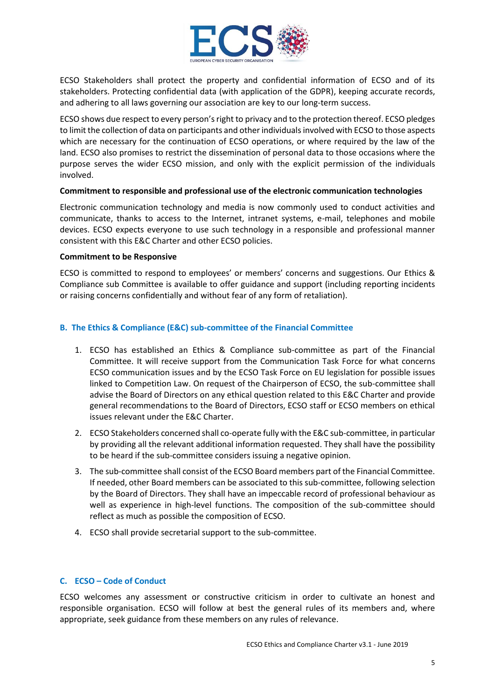

ECSO Stakeholders shall protect the property and confidential information of ECSO and of its stakeholders. Protecting confidential data (with application of the GDPR), keeping accurate records, and adhering to all laws governing our association are key to our long-term success.

ECSO shows due respect to every person's right to privacy and to the protection thereof. ECSO pledges to limit the collection of data on participants and other individuals involved with ECSO to those aspects which are necessary for the continuation of ECSO operations, or where required by the law of the land. ECSO also promises to restrict the dissemination of personal data to those occasions where the purpose serves the wider ECSO mission, and only with the explicit permission of the individuals involved.

#### **Commitment to responsible and professional use of the electronic communication technologies**

Electronic communication technology and media is now commonly used to conduct activities and communicate, thanks to access to the Internet, intranet systems, e-mail, telephones and mobile devices. ECSO expects everyone to use such technology in a responsible and professional manner consistent with this E&C Charter and other ECSO policies.

#### **Commitment to be Responsive**

ECSO is committed to respond to employees' or members' concerns and suggestions. Our Ethics & Compliance sub Committee is available to offer guidance and support (including reporting incidents or raising concerns confidentially and without fear of any form of retaliation).

#### **B. The Ethics & Compliance (E&C) sub-committee of the Financial Committee**

- 1. ECSO has established an Ethics & Compliance sub-committee as part of the Financial Committee. It will receive support from the Communication Task Force for what concerns ECSO communication issues and by the ECSO Task Force on EU legislation for possible issues linked to Competition Law. On request of the Chairperson of ECSO, the sub-committee shall advise the Board of Directors on any ethical question related to this E&C Charter and provide general recommendations to the Board of Directors, ECSO staff or ECSO members on ethical issues relevant under the E&C Charter.
- 2. ECSO Stakeholders concerned shall co-operate fully with the E&C sub-committee, in particular by providing all the relevant additional information requested. They shall have the possibility to be heard if the sub-committee considers issuing a negative opinion.
- 3. The sub-committee shall consist of the ECSO Board members part of the Financial Committee. If needed, other Board members can be associated to this sub-committee, following selection by the Board of Directors. They shall have an impeccable record of professional behaviour as well as experience in high-level functions. The composition of the sub-committee should reflect as much as possible the composition of ECSO.
- 4. ECSO shall provide secretarial support to the sub-committee.

#### **C. ECSO – Code of Conduct**

ECSO welcomes any assessment or constructive criticism in order to cultivate an honest and responsible organisation. ECSO will follow at best the general rules of its members and, where appropriate, seek guidance from these members on any rules of relevance.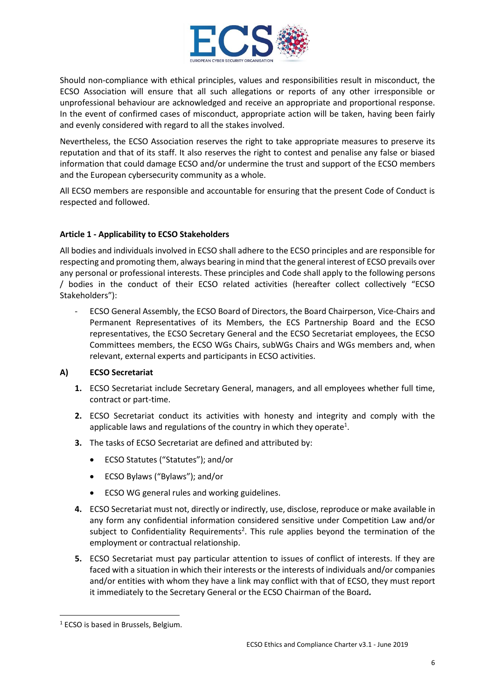

Should non-compliance with ethical principles, values and responsibilities result in misconduct, the ECSO Association will ensure that all such allegations or reports of any other irresponsible or unprofessional behaviour are acknowledged and receive an appropriate and proportional response. In the event of confirmed cases of misconduct, appropriate action will be taken, having been fairly and evenly considered with regard to all the stakes involved.

Nevertheless, the ECSO Association reserves the right to take appropriate measures to preserve its reputation and that of its staff. It also reserves the right to contest and penalise any false or biased information that could damage ECSO and/or undermine the trust and support of the ECSO members and the European cybersecurity community as a whole.

All ECSO members are responsible and accountable for ensuring that the present Code of Conduct is respected and followed.

## **Article 1 - Applicability to ECSO Stakeholders**

All bodies and individuals involved in ECSO shall adhere to the ECSO principles and are responsible for respecting and promoting them, always bearing in mind that the general interest of ECSO prevails over any personal or professional interests. These principles and Code shall apply to the following persons / bodies in the conduct of their ECSO related activities (hereafter collect collectively "ECSO Stakeholders"):

- ECSO General Assembly, the ECSO Board of Directors, the Board Chairperson, Vice-Chairs and Permanent Representatives of its Members, the ECS Partnership Board and the ECSO representatives, the ECSO Secretary General and the ECSO Secretariat employees, the ECSO Committees members, the ECSO WGs Chairs, subWGs Chairs and WGs members and, when relevant, external experts and participants in ECSO activities.

#### **A) ECSO Secretariat**

- **1.** ECSO Secretariat include Secretary General, managers, and all employees whether full time, contract or part-time.
- **2.** ECSO Secretariat conduct its activities with honesty and integrity and comply with the applicable laws and regulations of the country in which they operate<sup>1</sup>.
- **3.** The tasks of ECSO Secretariat are defined and attributed by:
	- ECSO Statutes ("Statutes"); and/or
	- ECSO Bylaws ("Bylaws"); and/or
	- ECSO WG general rules and working guidelines.
- **4.** ECSO Secretariat must not, directly or indirectly, use, disclose, reproduce or make available in any form any confidential information considered sensitive under Competition Law and/or subject to Confidentiality Requirements<sup>2</sup>. This rule applies beyond the termination of the employment or contractual relationship.
- **5.** ECSO Secretariat must pay particular attention to issues of conflict of interests. If they are faced with a situation in which their interests or the interests of individuals and/or companies and/or entities with whom they have a link may conflict with that of ECSO, they must report it immediately to the Secretary General or the ECSO Chairman of the Board*.*

<sup>1</sup> ECSO is based in Brussels, Belgium.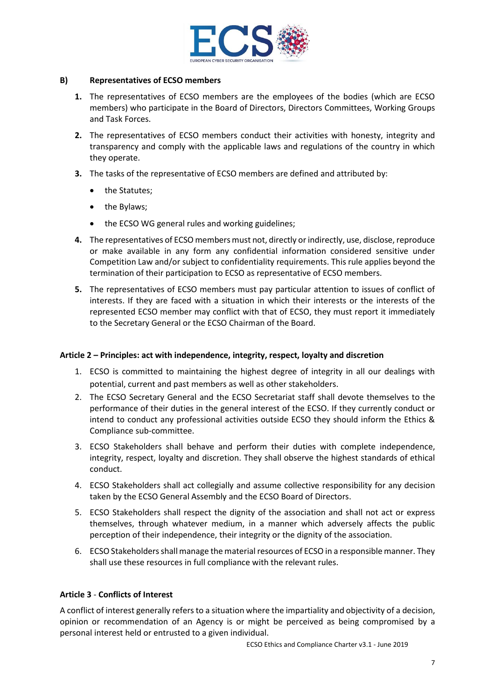

#### **B) Representatives of ECSO members**

- **1.** The representatives of ECSO members are the employees of the bodies (which are ECSO members) who participate in the Board of Directors, Directors Committees, Working Groups and Task Forces.
- **2.** The representatives of ECSO members conduct their activities with honesty, integrity and transparency and comply with the applicable laws and regulations of the country in which they operate.
- **3.** The tasks of the representative of ECSO members are defined and attributed by:
	- the Statutes;
	- the Bylaws;
	- the ECSO WG general rules and working guidelines;
- **4.** The representatives of ECSO members must not, directly or indirectly, use, disclose, reproduce or make available in any form any confidential information considered sensitive under Competition Law and/or subject to confidentiality requirements. This rule applies beyond the termination of their participation to ECSO as representative of ECSO members.
- **5.** The representatives of ECSO members must pay particular attention to issues of conflict of interests. If they are faced with a situation in which their interests or the interests of the represented ECSO member may conflict with that of ECSO, they must report it immediately to the Secretary General or the ECSO Chairman of the Board.

#### **Article 2 – Principles: act with independence, integrity, respect, loyalty and discretion**

- 1. ECSO is committed to maintaining the highest degree of integrity in all our dealings with potential, current and past members as well as other stakeholders.
- 2. The ECSO Secretary General and the ECSO Secretariat staff shall devote themselves to the performance of their duties in the general interest of the ECSO. If they currently conduct or intend to conduct any professional activities outside ECSO they should inform the Ethics & Compliance sub-committee.
- 3. ECSO Stakeholders shall behave and perform their duties with complete independence, integrity, respect, loyalty and discretion. They shall observe the highest standards of ethical conduct.
- 4. ECSO Stakeholders shall act collegially and assume collective responsibility for any decision taken by the ECSO General Assembly and the ECSO Board of Directors.
- 5. ECSO Stakeholders shall respect the dignity of the association and shall not act or express themselves, through whatever medium, in a manner which adversely affects the public perception of their independence, their integrity or the dignity of the association.
- 6. ECSO Stakeholders shall manage the material resources of ECSO in a responsible manner. They shall use these resources in full compliance with the relevant rules.

#### **Article 3** - **Conflicts of Interest**

A conflict of interest generally refers to a situation where the impartiality and objectivity of a decision, opinion or recommendation of an Agency is or might be perceived as being compromised by a personal interest held or entrusted to a given individual.

ECSO Ethics and Compliance Charter v3.1 - June 2019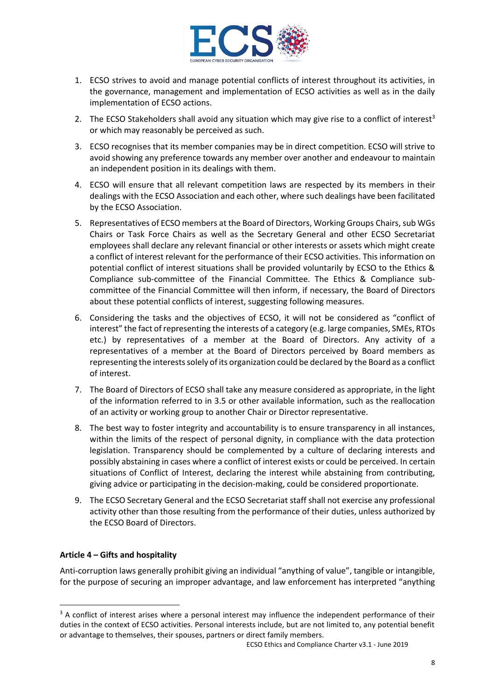

- 1. ECSO strives to avoid and manage potential conflicts of interest throughout its activities, in the governance, management and implementation of ECSO activities as well as in the daily implementation of ECSO actions.
- 2. The ECSO Stakeholders shall avoid any situation which may give rise to a conflict of interest<sup>3</sup> or which may reasonably be perceived as such.
- 3. ECSO recognises that its member companies may be in direct competition. ECSO will strive to avoid showing any preference towards any member over another and endeavour to maintain an independent position in its dealings with them.
- 4. ECSO will ensure that all relevant competition laws are respected by its members in their dealings with the ECSO Association and each other, where such dealings have been facilitated by the ECSO Association.
- 5. Representatives of ECSO members at the Board of Directors, Working Groups Chairs, sub WGs Chairs or Task Force Chairs as well as the Secretary General and other ECSO Secretariat employees shall declare any relevant financial or other interests or assets which might create a conflict of interest relevant for the performance of their ECSO activities. This information on potential conflict of interest situations shall be provided voluntarily by ECSO to the Ethics & Compliance sub-committee of the Financial Committee. The Ethics & Compliance subcommittee of the Financial Committee will then inform, if necessary, the Board of Directors about these potential conflicts of interest, suggesting following measures.
- 6. Considering the tasks and the objectives of ECSO, it will not be considered as "conflict of interest" the fact of representing the interests of a category (e.g. large companies, SMEs, RTOs etc.) by representatives of a member at the Board of Directors. Any activity of a representatives of a member at the Board of Directors perceived by Board members as representing the interests solely of its organization could be declared by the Board as a conflict of interest.
- 7. The Board of Directors of ECSO shall take any measure considered as appropriate, in the light of the information referred to in 3.5 or other available information, such as the reallocation of an activity or working group to another Chair or Director representative.
- 8. The best way to foster integrity and accountability is to ensure transparency in all instances, within the limits of the respect of personal dignity, in compliance with the data protection legislation. Transparency should be complemented by a culture of declaring interests and possibly abstaining in cases where a conflict of interest exists or could be perceived. In certain situations of Conflict of Interest, declaring the interest while abstaining from contributing, giving advice or participating in the decision-making, could be considered proportionate.
- 9. The ECSO Secretary General and the ECSO Secretariat staff shall not exercise any professional activity other than those resulting from the performance of their duties, unless authorized by the ECSO Board of Directors.

## **Article 4 – Gifts and hospitality**

Anti-corruption laws generally prohibit giving an individual "anything of value", tangible or intangible, for the purpose of securing an improper advantage, and law enforcement has interpreted "anything

<sup>&</sup>lt;sup>3</sup> A conflict of interest arises where a personal interest may influence the independent performance of their duties in the context of ECSO activities. Personal interests include, but are not limited to, any potential benefit or advantage to themselves, their spouses, partners or direct family members.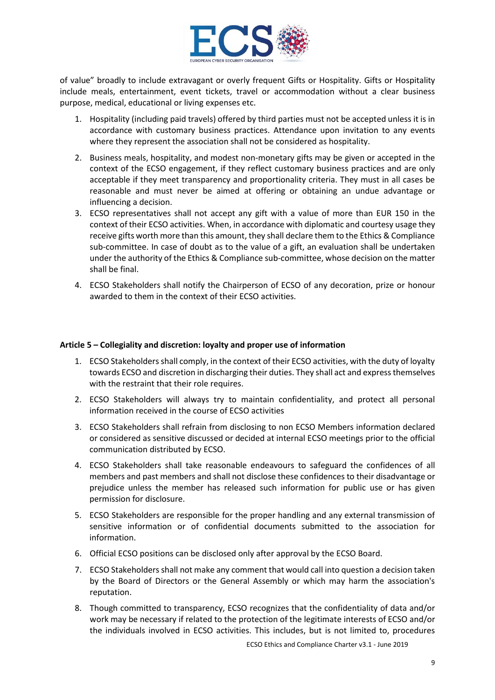

of value" broadly to include extravagant or overly frequent Gifts or Hospitality. Gifts or Hospitality include meals, entertainment, event tickets, travel or accommodation without a clear business purpose, medical, educational or living expenses etc.

- 1. Hospitality (including paid travels) offered by third parties must not be accepted unless it is in accordance with customary business practices. Attendance upon invitation to any events where they represent the association shall not be considered as hospitality.
- 2. Business meals, hospitality, and modest non-monetary gifts may be given or accepted in the context of the ECSO engagement, if they reflect customary business practices and are only acceptable if they meet transparency and proportionality criteria. They must in all cases be reasonable and must never be aimed at offering or obtaining an undue advantage or influencing a decision.
- 3. ECSO representatives shall not accept any gift with a value of more than EUR 150 in the context of their ECSO activities. When, in accordance with diplomatic and courtesy usage they receive gifts worth more than this amount, they shall declare them to the Ethics & Compliance sub-committee. In case of doubt as to the value of a gift, an evaluation shall be undertaken under the authority of the Ethics & Compliance sub-committee, whose decision on the matter shall be final.
- 4. ECSO Stakeholders shall notify the Chairperson of ECSO of any decoration, prize or honour awarded to them in the context of their ECSO activities.

#### **Article 5 – Collegiality and discretion: loyalty and proper use of information**

- 1. ECSO Stakeholders shall comply, in the context of their ECSO activities, with the duty of loyalty towards ECSO and discretion in discharging their duties. They shall act and express themselves with the restraint that their role requires.
- 2. ECSO Stakeholders will always try to maintain confidentiality, and protect all personal information received in the course of ECSO activities
- 3. ECSO Stakeholders shall refrain from disclosing to non ECSO Members information declared or considered as sensitive discussed or decided at internal ECSO meetings prior to the official communication distributed by ECSO.
- 4. ECSO Stakeholders shall take reasonable endeavours to safeguard the confidences of all members and past members and shall not disclose these confidences to their disadvantage or prejudice unless the member has released such information for public use or has given permission for disclosure.
- 5. ECSO Stakeholders are responsible for the proper handling and any external transmission of sensitive information or of confidential documents submitted to the association for information.
- 6. Official ECSO positions can be disclosed only after approval by the ECSO Board.
- 7. ECSO Stakeholders shall not make any comment that would call into question a decision taken by the Board of Directors or the General Assembly or which may harm the association's reputation.
- 8. Though committed to transparency, ECSO recognizes that the confidentiality of data and/or work may be necessary if related to the protection of the legitimate interests of ECSO and/or the individuals involved in ECSO activities. This includes, but is not limited to, procedures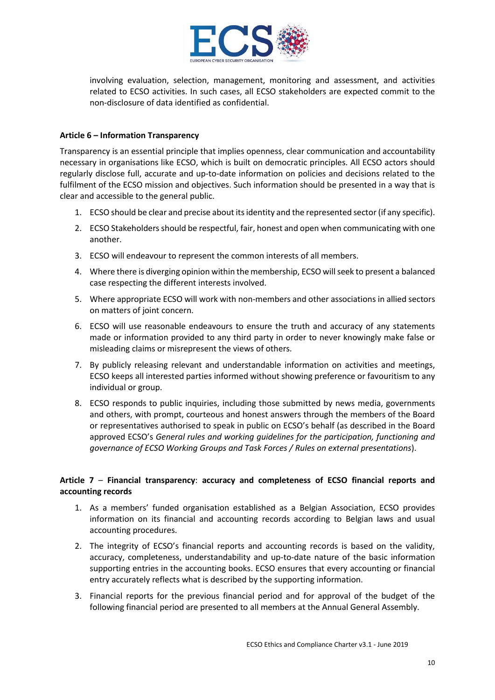

involving evaluation, selection, management, monitoring and assessment, and activities related to ECSO activities. In such cases, all ECSO stakeholders are expected commit to the non-disclosure of data identified as confidential.

### **Article 6 – Information Transparency**

Transparency is an essential principle that implies openness, clear communication and accountability necessary in organisations like ECSO, which is built on democratic principles. All ECSO actors should regularly disclose full, accurate and up-to-date information on policies and decisions related to the fulfilment of the ECSO mission and objectives. Such information should be presented in a way that is clear and accessible to the general public.

- 1. ECSO should be clear and precise about its identity and the represented sector (if any specific).
- 2. ECSO Stakeholders should be respectful, fair, honest and open when communicating with one another.
- 3. ECSO will endeavour to represent the common interests of all members.
- 4. Where there is diverging opinion within the membership, ECSO will seek to present a balanced case respecting the different interests involved.
- 5. Where appropriate ECSO will work with non-members and other associations in allied sectors on matters of joint concern.
- 6. ECSO will use reasonable endeavours to ensure the truth and accuracy of any statements made or information provided to any third party in order to never knowingly make false or misleading claims or misrepresent the views of others.
- 7. By publicly releasing relevant and understandable information on activities and meetings, ECSO keeps all interested parties informed without showing preference or favouritism to any individual or group.
- 8. ECSO responds to public inquiries, including those submitted by news media, governments and others, with prompt, courteous and honest answers through the members of the Board or representatives authorised to speak in public on ECSO's behalf (as described in the Board approved ECSO's *General rules and working guidelines for the participation, functioning and governance of ECSO Working Groups and Task Forces / Rules on external presentations*).

## **Article 7** – **Financial transparency**: **accuracy and completeness of ECSO financial reports and accounting records**

- 1. As a members' funded organisation established as a Belgian Association, ECSO provides information on its financial and accounting records according to Belgian laws and usual accounting procedures.
- 2. The integrity of ECSO's financial reports and accounting records is based on the validity, accuracy, completeness, understandability and up-to-date nature of the basic information supporting entries in the accounting books. ECSO ensures that every accounting or financial entry accurately reflects what is described by the supporting information.
- 3. Financial reports for the previous financial period and for approval of the budget of the following financial period are presented to all members at the Annual General Assembly.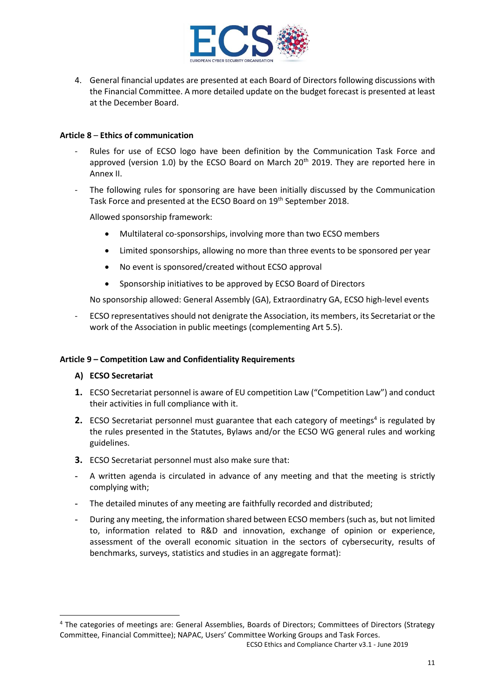

4. General financial updates are presented at each Board of Directors following discussions with the Financial Committee. A more detailed update on the budget forecast is presented at least at the December Board.

#### **Article 8** – **Ethics of communication**

- Rules for use of ECSO logo have been definition by the Communication Task Force and approved (version 1.0) by the ECSO Board on March 20<sup>th</sup> 2019. They are reported here in Annex II.
- The following rules for sponsoring are have been initially discussed by the Communication Task Force and presented at the ECSO Board on 19<sup>th</sup> September 2018.

Allowed sponsorship framework:

- Multilateral co-sponsorships, involving more than two ECSO members
- Limited sponsorships, allowing no more than three events to be sponsored per year
- No event is sponsored/created without ECSO approval
- Sponsorship initiatives to be approved by ECSO Board of Directors

No sponsorship allowed: General Assembly (GA), Extraordinatry GA, ECSO high-level events

- ECSO representatives should not denigrate the Association, its members, its Secretariat or the work of the Association in public meetings (complementing Art 5.5).

#### **Article 9 – Competition Law and Confidentiality Requirements**

#### **A) ECSO Secretariat**

- **1.** ECSO Secretariat personnel is aware of EU competition Law ("Competition Law") and conduct their activities in full compliance with it.
- **2.** ECSO Secretariat personnel must guarantee that each category of meetings<sup>4</sup> is regulated by the rules presented in the Statutes, Bylaws and/or the ECSO WG general rules and working guidelines.
- **3.** ECSO Secretariat personnel must also make sure that:
- **-** A written agenda is circulated in advance of any meeting and that the meeting is strictly complying with;
- **-** The detailed minutes of any meeting are faithfully recorded and distributed;
- **-** During any meeting, the information shared between ECSO members (such as, but not limited to, information related to R&D and innovation, exchange of opinion or experience, assessment of the overall economic situation in the sectors of cybersecurity, results of benchmarks, surveys, statistics and studies in an aggregate format):

ECSO Ethics and Compliance Charter v3.1 - June 2019

<sup>4</sup> The categories of meetings are: General Assemblies, Boards of Directors; Committees of Directors (Strategy Committee, Financial Committee); NAPAC, Users' Committee Working Groups and Task Forces.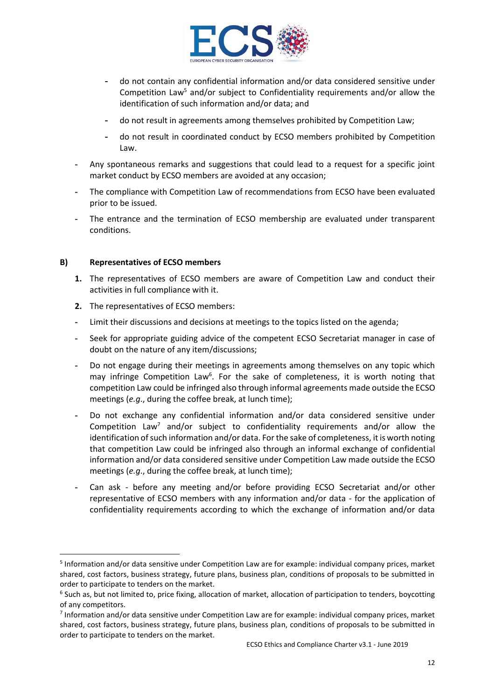

- **-** do not contain any confidential information and/or data considered sensitive under Competition Law<sup>5</sup> and/or subject to Confidentiality requirements and/or allow the identification of such information and/or data; and
- **-** do not result in agreements among themselves prohibited by Competition Law;
- **-** do not result in coordinated conduct by ECSO members prohibited by Competition Law.
- **-** Any spontaneous remarks and suggestions that could lead to a request for a specific joint market conduct by ECSO members are avoided at any occasion;
- **-** The compliance with Competition Law of recommendations from ECSO have been evaluated prior to be issued.
- **-** The entrance and the termination of ECSO membership are evaluated under transparent conditions.

## **B) Representatives of ECSO members**

- **1.** The representatives of ECSO members are aware of Competition Law and conduct their activities in full compliance with it.
- **2.** The representatives of ECSO members:
- **-** Limit their discussions and decisions at meetings to the topics listed on the agenda;
- **-** Seek for appropriate guiding advice of the competent ECSO Secretariat manager in case of doubt on the nature of any item/discussions;
- **-** Do not engage during their meetings in agreements among themselves on any topic which may infringe Competition Law<sup>6</sup>. For the sake of completeness, it is worth noting that competition Law could be infringed also through informal agreements made outside the ECSO meetings (*e.g*., during the coffee break, at lunch time);
- **-** Do not exchange any confidential information and/or data considered sensitive under Competition Law<sup>7</sup> and/or subject to confidentiality requirements and/or allow the identification of such information and/or data. For the sake of completeness, it is worth noting that competition Law could be infringed also through an informal exchange of confidential information and/or data considered sensitive under Competition Law made outside the ECSO meetings (*e.g*., during the coffee break, at lunch time);
- **-** Can ask before any meeting and/or before providing ECSO Secretariat and/or other representative of ECSO members with any information and/or data - for the application of confidentiality requirements according to which the exchange of information and/or data

<sup>5</sup> Information and/or data sensitive under Competition Law are for example: individual company prices, market shared, cost factors, business strategy, future plans, business plan, conditions of proposals to be submitted in order to participate to tenders on the market.

<sup>&</sup>lt;sup>6</sup> Such as, but not limited to, price fixing, allocation of market, allocation of participation to tenders, boycotting of any competitors.

<sup>7</sup> Information and/or data sensitive under Competition Law are for example: individual company prices, market shared, cost factors, business strategy, future plans, business plan, conditions of proposals to be submitted in order to participate to tenders on the market.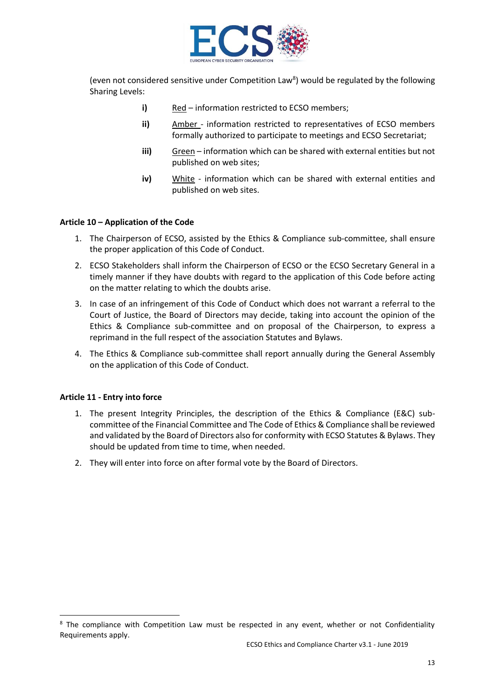

(even not considered sensitive under Competition Law<sup>8</sup>) would be regulated by the following Sharing Levels:

- **i)** Red information restricted to ECSO members;
- **ii)** Amber information restricted to representatives of ECSO members formally authorized to participate to meetings and ECSO Secretariat;
- **iii)** Green information which can be shared with external entities but not published on web sites;
- **iv)** White information which can be shared with external entities and published on web sites.

#### **Article 10 – Application of the Code**

- 1. The Chairperson of ECSO, assisted by the Ethics & Compliance sub-committee, shall ensure the proper application of this Code of Conduct.
- 2. ECSO Stakeholders shall inform the Chairperson of ECSO or the ECSO Secretary General in a timely manner if they have doubts with regard to the application of this Code before acting on the matter relating to which the doubts arise.
- 3. In case of an infringement of this Code of Conduct which does not warrant a referral to the Court of Justice, the Board of Directors may decide, taking into account the opinion of the Ethics & Compliance sub-committee and on proposal of the Chairperson, to express a reprimand in the full respect of the association Statutes and Bylaws.
- 4. The Ethics & Compliance sub-committee shall report annually during the General Assembly on the application of this Code of Conduct.

#### **Article 11 - Entry into force**

- 1. The present Integrity Principles, the description of the Ethics & Compliance (E&C) subcommittee of the Financial Committee and The Code of Ethics & Compliance shall be reviewed and validated by the Board of Directors also for conformity with ECSO Statutes & Bylaws. They should be updated from time to time, when needed.
- 2. They will enter into force on after formal vote by the Board of Directors.

<sup>&</sup>lt;sup>8</sup> The compliance with Competition Law must be respected in any event, whether or not Confidentiality Requirements apply.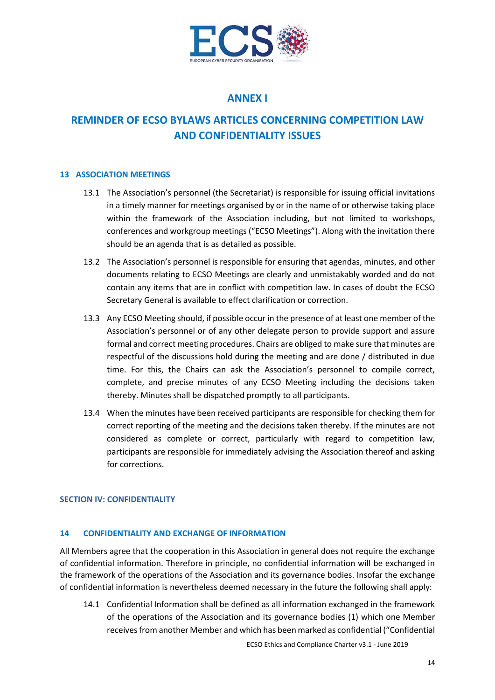

## **ANNEX I**

# **REMINDER OF ECSO BYLAWS ARTICLES CONCERNING COMPETITION LAW AND CONFIDENTIALITY ISSUES**

#### **13 ASSOCIATION MEETINGS**

- 13.1 The Association's personnel (the Secretariat) is responsible for issuing official invitations in a timely manner for meetings organised by or in the name of or otherwise taking place within the framework of the Association including, but not limited to workshops, conferences and workgroup meetings ("ECSO Meetings"). Along with the invitation there should be an agenda that is as detailed as possible.
- 13.2 The Association's personnel is responsible for ensuring that agendas, minutes, and other documents relating to ECSO Meetings are clearly and unmistakably worded and do not contain any items that are in conflict with competition law. In cases of doubt the ECSO Secretary General is available to effect clarification or correction.
- 13.3 Any ECSO Meeting should, if possible occur in the presence of at least one member of the Association's personnel or of any other delegate person to provide support and assure formal and correct meeting procedures. Chairs are obliged to make sure that minutes are respectful of the discussions hold during the meeting and are done / distributed in due time. For this, the Chairs can ask the Association's personnel to compile correct, complete, and precise minutes of any ECSO Meeting including the decisions taken thereby. Minutes shall be dispatched promptly to all participants.
- 13.4 When the minutes have been received participants are responsible for checking them for correct reporting of the meeting and the decisions taken thereby. If the minutes are not considered as complete or correct, particularly with regard to competition law, participants are responsible for immediately advising the Association thereof and asking for corrections.

#### **SECTION IV: CONFIDENTIALITY**

#### **14 CONFIDENTIALITY AND EXCHANGE OF INFORMATION**

All Members agree that the cooperation in this Association in general does not require the exchange of confidential information. Therefore in principle, no confidential information will be exchanged in the framework of the operations of the Association and its governance bodies. Insofar the exchange of confidential information is nevertheless deemed necessary in the future the following shall apply:

14.1 Confidential Information shall be defined as all information exchanged in the framework of the operations of the Association and its governance bodies (1) which one Member receives from another Member and which has been marked as confidential ("Confidential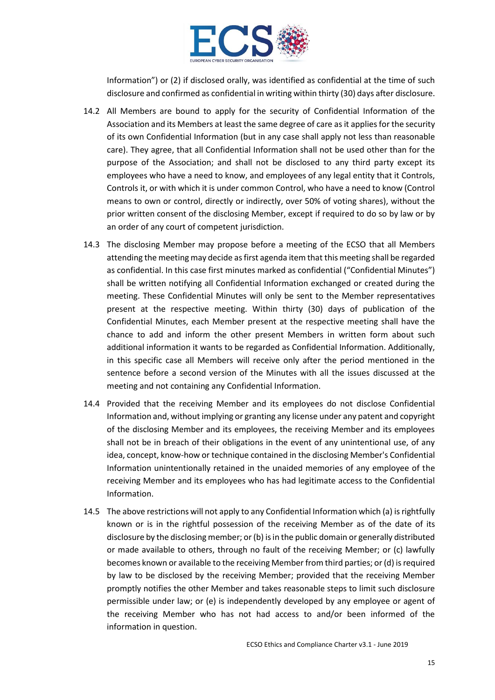

Information") or (2) if disclosed orally, was identified as confidential at the time of such disclosure and confirmed as confidential in writing within thirty (30) days after disclosure.

- 14.2 All Members are bound to apply for the security of Confidential Information of the Association and its Members at least the same degree of care as it applies for the security of its own Confidential Information (but in any case shall apply not less than reasonable care). They agree, that all Confidential Information shall not be used other than for the purpose of the Association; and shall not be disclosed to any third party except its employees who have a need to know, and employees of any legal entity that it Controls, Controls it, or with which it is under common Control, who have a need to know (Control means to own or control, directly or indirectly, over 50% of voting shares), without the prior written consent of the disclosing Member, except if required to do so by law or by an order of any court of competent jurisdiction.
- 14.3 The disclosing Member may propose before a meeting of the ECSO that all Members attending the meeting may decide as first agenda item that this meeting shall be regarded as confidential. In this case first minutes marked as confidential ("Confidential Minutes") shall be written notifying all Confidential Information exchanged or created during the meeting. These Confidential Minutes will only be sent to the Member representatives present at the respective meeting. Within thirty (30) days of publication of the Confidential Minutes, each Member present at the respective meeting shall have the chance to add and inform the other present Members in written form about such additional information it wants to be regarded as Confidential Information. Additionally, in this specific case all Members will receive only after the period mentioned in the sentence before a second version of the Minutes with all the issues discussed at the meeting and not containing any Confidential Information.
- 14.4 Provided that the receiving Member and its employees do not disclose Confidential Information and, without implying or granting any license under any patent and copyright of the disclosing Member and its employees, the receiving Member and its employees shall not be in breach of their obligations in the event of any unintentional use, of any idea, concept, know-how or technique contained in the disclosing Member's Confidential Information unintentionally retained in the unaided memories of any employee of the receiving Member and its employees who has had legitimate access to the Confidential Information.
- 14.5 The above restrictions will not apply to any Confidential Information which (a) is rightfully known or is in the rightful possession of the receiving Member as of the date of its disclosure by the disclosing member; or (b) is in the public domain or generally distributed or made available to others, through no fault of the receiving Member; or (c) lawfully becomes known or available to the receiving Member from third parties; or (d) is required by law to be disclosed by the receiving Member; provided that the receiving Member promptly notifies the other Member and takes reasonable steps to limit such disclosure permissible under law; or (e) is independently developed by any employee or agent of the receiving Member who has not had access to and/or been informed of the information in question.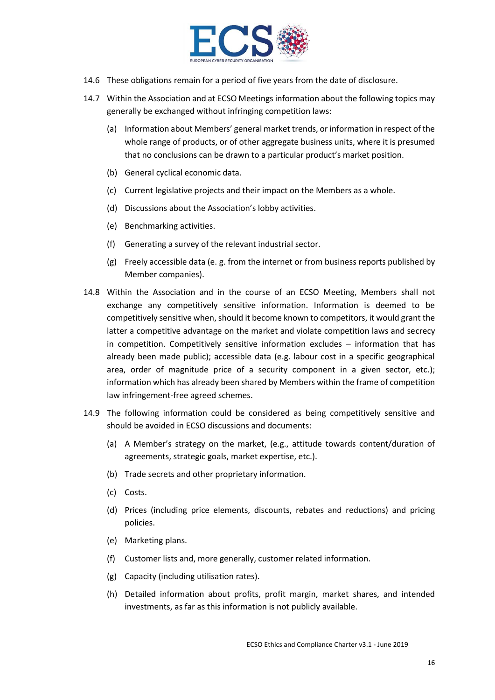

- 14.6 These obligations remain for a period of five years from the date of disclosure.
- 14.7 Within the Association and at ECSO Meetings information about the following topics may generally be exchanged without infringing competition laws:
	- (a) Information about Members' general market trends, or information in respect of the whole range of products, or of other aggregate business units, where it is presumed that no conclusions can be drawn to a particular product's market position.
	- (b) General cyclical economic data.
	- (c) Current legislative projects and their impact on the Members as a whole.
	- (d) Discussions about the Association's lobby activities.
	- (e) Benchmarking activities.
	- (f) Generating a survey of the relevant industrial sector.
	- (g) Freely accessible data (e. g. from the internet or from business reports published by Member companies).
- 14.8 Within the Association and in the course of an ECSO Meeting, Members shall not exchange any competitively sensitive information. Information is deemed to be competitively sensitive when, should it become known to competitors, it would grant the latter a competitive advantage on the market and violate competition laws and secrecy in competition. Competitively sensitive information excludes – information that has already been made public); accessible data (e.g. labour cost in a specific geographical area, order of magnitude price of a security component in a given sector, etc.); information which has already been shared by Members within the frame of competition law infringement-free agreed schemes.
- 14.9 The following information could be considered as being competitively sensitive and should be avoided in ECSO discussions and documents:
	- (a) A Member's strategy on the market, (e.g., attitude towards content/duration of agreements, strategic goals, market expertise, etc.).
	- (b) Trade secrets and other proprietary information.
	- (c) Costs.
	- (d) Prices (including price elements, discounts, rebates and reductions) and pricing policies.
	- (e) Marketing plans.
	- (f) Customer lists and, more generally, customer related information.
	- (g) Capacity (including utilisation rates).
	- (h) Detailed information about profits, profit margin, market shares, and intended investments, as far as this information is not publicly available.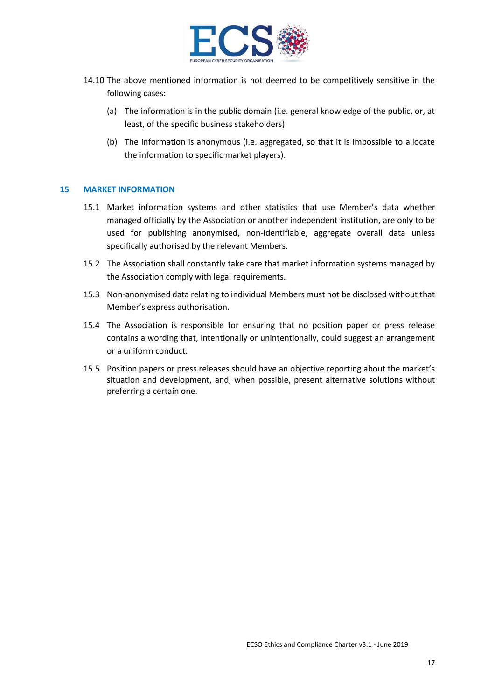

- 14.10 The above mentioned information is not deemed to be competitively sensitive in the following cases:
	- (a) The information is in the public domain (i.e. general knowledge of the public, or, at least, of the specific business stakeholders).
	- (b) The information is anonymous (i.e. aggregated, so that it is impossible to allocate the information to specific market players).

#### **15 MARKET INFORMATION**

- 15.1 Market information systems and other statistics that use Member's data whether managed officially by the Association or another independent institution, are only to be used for publishing anonymised, non-identifiable, aggregate overall data unless specifically authorised by the relevant Members.
- 15.2 The Association shall constantly take care that market information systems managed by the Association comply with legal requirements.
- 15.3 Non-anonymised data relating to individual Members must not be disclosed without that Member's express authorisation.
- 15.4 The Association is responsible for ensuring that no position paper or press release contains a wording that, intentionally or unintentionally, could suggest an arrangement or a uniform conduct.
- 15.5 Position papers or press releases should have an objective reporting about the market's situation and development, and, when possible, present alternative solutions without preferring a certain one.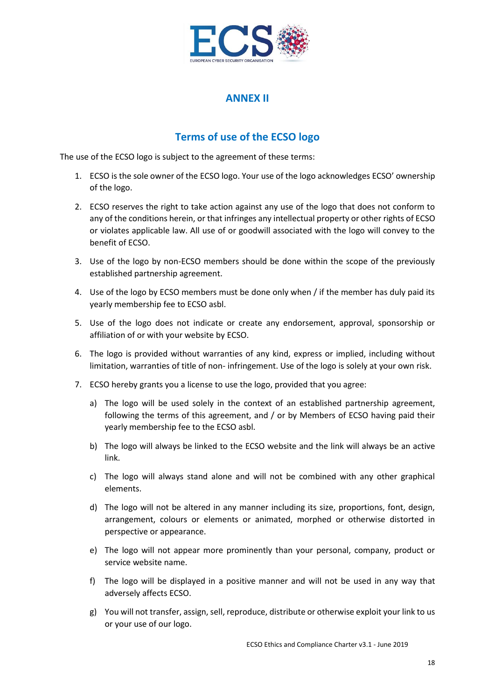

## **ANNEX II**

## **Terms of use of the ECSO logo**

The use of the ECSO logo is subject to the agreement of these terms:

- 1. ECSO is the sole owner of the ECSO logo. Your use of the logo acknowledges ECSO' ownership of the logo.
- 2. ECSO reserves the right to take action against any use of the logo that does not conform to any of the conditions herein, or that infringes any intellectual property or other rights of ECSO or violates applicable law. All use of or goodwill associated with the logo will convey to the benefit of ECSO.
- 3. Use of the logo by non-ECSO members should be done within the scope of the previously established partnership agreement.
- 4. Use of the logo by ECSO members must be done only when / if the member has duly paid its yearly membership fee to ECSO asbl.
- 5. Use of the logo does not indicate or create any endorsement, approval, sponsorship or affiliation of or with your website by ECSO.
- 6. The logo is provided without warranties of any kind, express or implied, including without limitation, warranties of title of non- infringement. Use of the logo is solely at your own risk.
- 7. ECSO hereby grants you a license to use the logo, provided that you agree:
	- a) The logo will be used solely in the context of an established partnership agreement, following the terms of this agreement, and / or by Members of ECSO having paid their yearly membership fee to the ECSO asbl.
	- b) The logo will always be linked to the ECSO website and the link will always be an active link.
	- c) The logo will always stand alone and will not be combined with any other graphical elements.
	- d) The logo will not be altered in any manner including its size, proportions, font, design, arrangement, colours or elements or animated, morphed or otherwise distorted in perspective or appearance.
	- e) The logo will not appear more prominently than your personal, company, product or service website name.
	- f) The logo will be displayed in a positive manner and will not be used in any way that adversely affects ECSO.
	- g) You will not transfer, assign, sell, reproduce, distribute or otherwise exploit your link to us or your use of our logo.